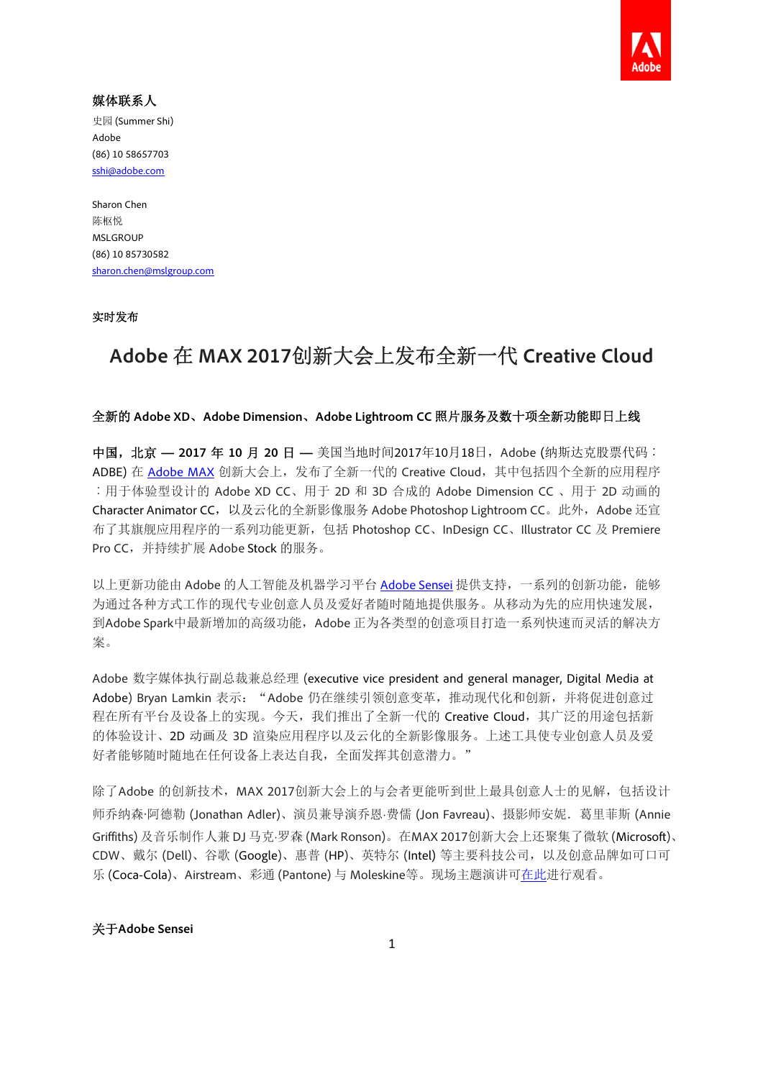

# 媒体联系人

史园 (Summer Shi) Adobe (86) 10 58657703 sshi@adobe.com

Sharon Chen 陈枢悦 **MSLGROUP** (86) 10 85730582 sharon.chen@mslgroup.com

## 实时发布

# **Adobe** 在 **MAX 2017**创新大会上发布全新一代 **Creative Cloud**

#### 全新的 **Adobe XD**、**Adobe Dimension**、**Adobe Lightroom CC** 照片服务及数十项全新功能即日上线

中国, 北京 - 2017 年 10 月 20 日 - 美国当地时间2017年10月18日, Adobe (纳斯达克股票代码: ADBE) 在 Adobe MAX 创新大会上, 发布了全新一代的 Creative Cloud, 其中包括四个全新的应用程序 ︰用于体验型设计的 Adobe XD CC、用于 2D 和 3D 合成的 Adobe Dimension CC 、用于 2D 动画的 Character Animator CC,以及云化的全新影像服务 Adobe Photoshop Lightroom CC。此外,Adobe 还宣 布了其旗舰应用程序的一系列功能更新,包括 Photoshop CC、InDesign CC、Illustrator CC 及 Premiere Pro CC,并持续扩展 Adobe Stock 的服务。

以上更新功能由 Adobe 的人工智能及机器学习平台 Adobe Sensei 提供支持,一系列的创新功能, 能够 为通过各种方式工作的现代专业创意人员及爱好者随时随地提供服务。从移动为先的应用快速发展, 到Adobe Spark中最新增加的高级功能,Adobe 正为各类型的创意项目打造一系列快速而灵活的解决方 案。

Adobe 数字媒体执行副总裁兼总经理 (executive vice president and general manager, Digital Media at Adobe) Bryan Lamkin 表示: "Adobe 仍在继续引领创意变革, 推动现代化和创新, 并将促进创意过 程在所有平台及设备上的实现。今天,我们推出了全新一代的 Creative Cloud, 其广泛的用途包括新 的体验设计、2D 动画及 3D 渲染应用程序以及云化的全新影像服务。上述工具使专业创意人员及爱 好者能够随时随地在任何设备上表达自我,全面发挥其创意潜力。"

除了Adobe 的创新技术, MAX 2017创新大会上的与会者更能听到世上最具创意人士的见解, 包括设计 师乔纳森·阿德勒 (Jonathan Adler)、演员兼导演乔恩·费儒 (Jon Favreau)、摄影师安妮. 葛里菲斯 (Annie Griffiths) 及音乐制作人兼 DJ 马克·罗森 (Mark Ronson)。在MAX 2017创新大会上还聚集了微软 (Microsoft)、 CDW、戴尔 (Dell)、谷歌 (Google)、惠普 (HP)、英特尔 (Intel) 等主要科技公司,以及创意品牌如可口可 乐 (Coca-Cola)、Airstream、彩通 (Pantone) 与 Moleskine等。现场主题演讲可在此进行观看。

## 关于**Adobe Sensei**